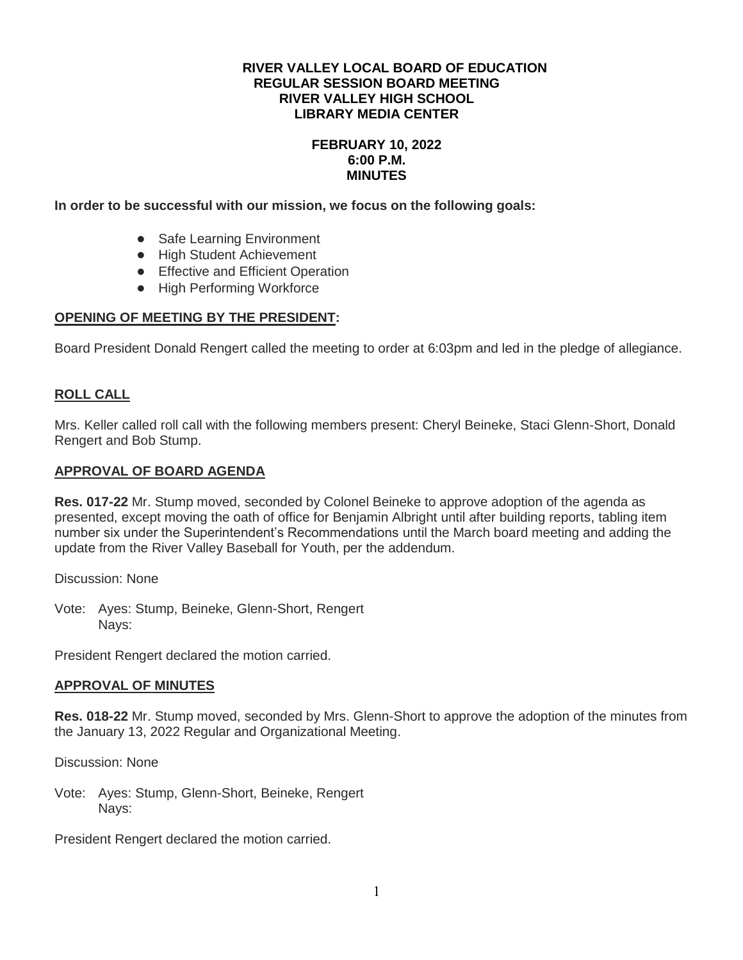### **RIVER VALLEY LOCAL BOARD OF EDUCATION REGULAR SESSION BOARD MEETING RIVER VALLEY HIGH SCHOOL LIBRARY MEDIA CENTER**

## **FEBRUARY 10, 2022 6:00 P.M. MINUTES**

**In order to be successful with our mission, we focus on the following goals:**

- Safe Learning Environment
- High Student Achievement
- Effective and Efficient Operation
- High Performing Workforce

## **OPENING OF MEETING BY THE PRESIDENT:**

Board President Donald Rengert called the meeting to order at 6:03pm and led in the pledge of allegiance.

# **ROLL CALL**

Mrs. Keller called roll call with the following members present: Cheryl Beineke, Staci Glenn-Short, Donald Rengert and Bob Stump.

## **APPROVAL OF BOARD AGENDA**

**Res. 017-22** Mr. Stump moved, seconded by Colonel Beineke to approve adoption of the agenda as presented, except moving the oath of office for Benjamin Albright until after building reports, tabling item number six under the Superintendent's Recommendations until the March board meeting and adding the update from the River Valley Baseball for Youth, per the addendum.

Discussion: None

Vote: Ayes: Stump, Beineke, Glenn-Short, Rengert Nays:

President Rengert declared the motion carried.

## **APPROVAL OF MINUTES**

**Res. 018-22** Mr. Stump moved, seconded by Mrs. Glenn-Short to approve the adoption of the minutes from the January 13, 2022 Regular and Organizational Meeting.

Discussion: None

Vote: Ayes: Stump, Glenn-Short, Beineke, Rengert Nays:

President Rengert declared the motion carried.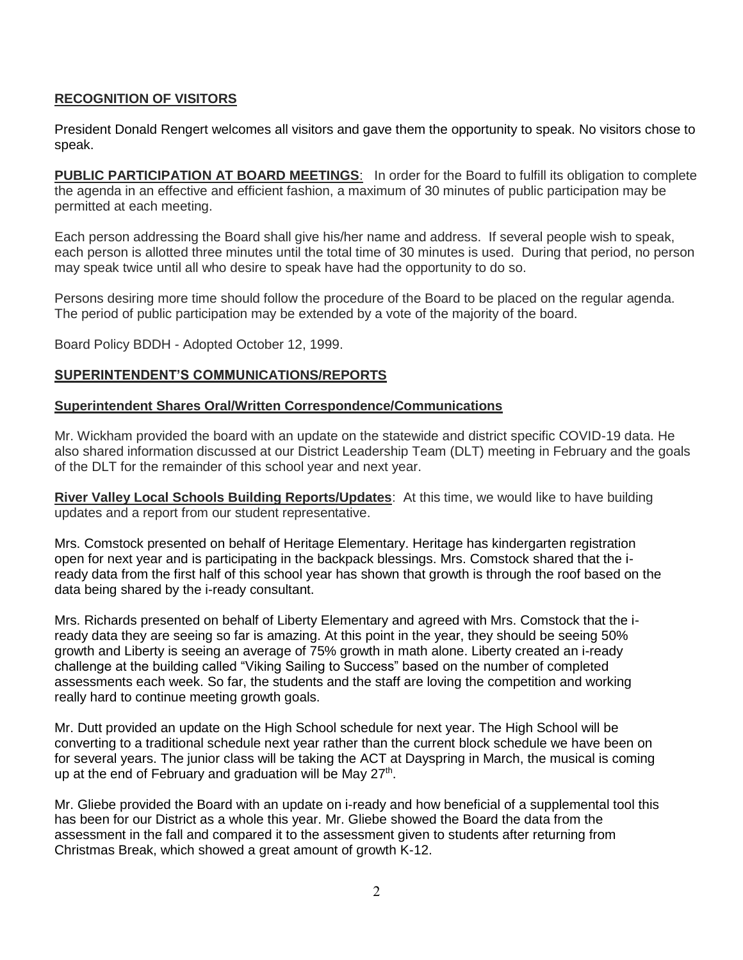# **RECOGNITION OF VISITORS**

President Donald Rengert welcomes all visitors and gave them the opportunity to speak. No visitors chose to speak.

**PUBLIC PARTICIPATION AT BOARD MEETINGS**: In order for the Board to fulfill its obligation to complete the agenda in an effective and efficient fashion, a maximum of 30 minutes of public participation may be permitted at each meeting.

Each person addressing the Board shall give his/her name and address. If several people wish to speak, each person is allotted three minutes until the total time of 30 minutes is used. During that period, no person may speak twice until all who desire to speak have had the opportunity to do so.

Persons desiring more time should follow the procedure of the Board to be placed on the regular agenda. The period of public participation may be extended by a vote of the majority of the board.

Board Policy BDDH - Adopted October 12, 1999.

# **SUPERINTENDENT'S COMMUNICATIONS/REPORTS**

## **Superintendent Shares Oral/Written Correspondence/Communications**

Mr. Wickham provided the board with an update on the statewide and district specific COVID-19 data. He also shared information discussed at our District Leadership Team (DLT) meeting in February and the goals of the DLT for the remainder of this school year and next year.

**River Valley Local Schools Building Reports/Updates**: At this time, we would like to have building updates and a report from our student representative.

Mrs. Comstock presented on behalf of Heritage Elementary. Heritage has kindergarten registration open for next year and is participating in the backpack blessings. Mrs. Comstock shared that the iready data from the first half of this school year has shown that growth is through the roof based on the data being shared by the i-ready consultant.

Mrs. Richards presented on behalf of Liberty Elementary and agreed with Mrs. Comstock that the iready data they are seeing so far is amazing. At this point in the year, they should be seeing 50% growth and Liberty is seeing an average of 75% growth in math alone. Liberty created an i-ready challenge at the building called "Viking Sailing to Success" based on the number of completed assessments each week. So far, the students and the staff are loving the competition and working really hard to continue meeting growth goals.

Mr. Dutt provided an update on the High School schedule for next year. The High School will be converting to a traditional schedule next year rather than the current block schedule we have been on for several years. The junior class will be taking the ACT at Dayspring in March, the musical is coming up at the end of February and graduation will be May 27<sup>th</sup>.

Mr. Gliebe provided the Board with an update on i-ready and how beneficial of a supplemental tool this has been for our District as a whole this year. Mr. Gliebe showed the Board the data from the assessment in the fall and compared it to the assessment given to students after returning from Christmas Break, which showed a great amount of growth K-12.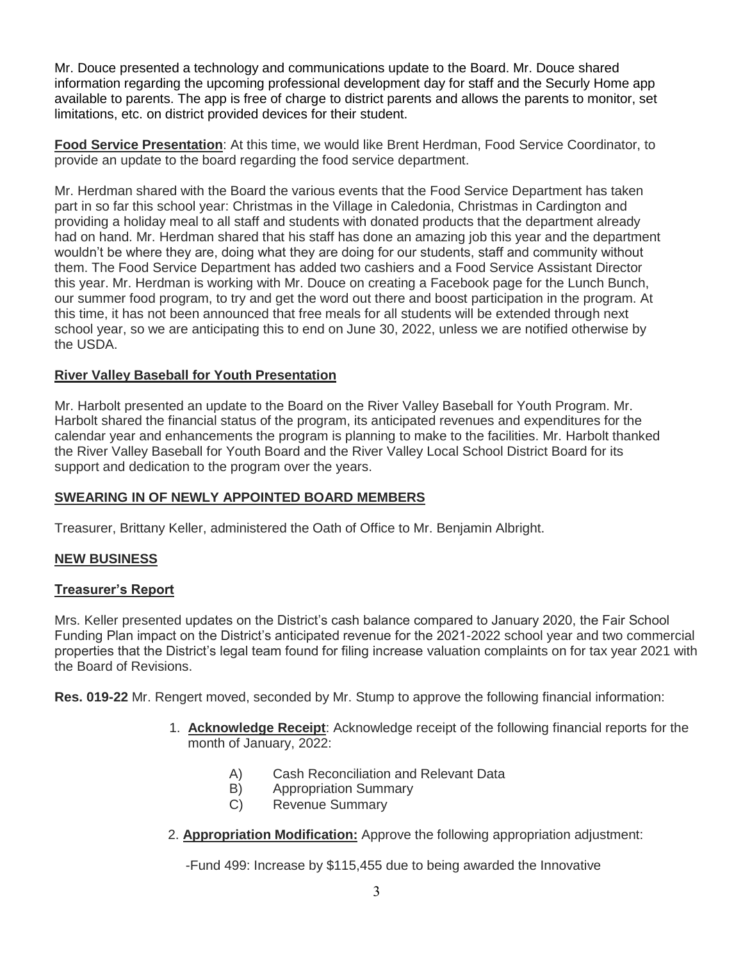Mr. Douce presented a technology and communications update to the Board. Mr. Douce shared information regarding the upcoming professional development day for staff and the Securly Home app available to parents. The app is free of charge to district parents and allows the parents to monitor, set limitations, etc. on district provided devices for their student.

**Food Service Presentation**: At this time, we would like Brent Herdman, Food Service Coordinator, to provide an update to the board regarding the food service department.

Mr. Herdman shared with the Board the various events that the Food Service Department has taken part in so far this school year: Christmas in the Village in Caledonia, Christmas in Cardington and providing a holiday meal to all staff and students with donated products that the department already had on hand. Mr. Herdman shared that his staff has done an amazing job this year and the department wouldn't be where they are, doing what they are doing for our students, staff and community without them. The Food Service Department has added two cashiers and a Food Service Assistant Director this year. Mr. Herdman is working with Mr. Douce on creating a Facebook page for the Lunch Bunch, our summer food program, to try and get the word out there and boost participation in the program. At this time, it has not been announced that free meals for all students will be extended through next school year, so we are anticipating this to end on June 30, 2022, unless we are notified otherwise by the USDA.

# **River Valley Baseball for Youth Presentation**

Mr. Harbolt presented an update to the Board on the River Valley Baseball for Youth Program. Mr. Harbolt shared the financial status of the program, its anticipated revenues and expenditures for the calendar year and enhancements the program is planning to make to the facilities. Mr. Harbolt thanked the River Valley Baseball for Youth Board and the River Valley Local School District Board for its support and dedication to the program over the years.

## **SWEARING IN OF NEWLY APPOINTED BOARD MEMBERS**

Treasurer, Brittany Keller, administered the Oath of Office to Mr. Benjamin Albright.

## **NEW BUSINESS**

## **Treasurer's Report**

Mrs. Keller presented updates on the District's cash balance compared to January 2020, the Fair School Funding Plan impact on the District's anticipated revenue for the 2021-2022 school year and two commercial properties that the District's legal team found for filing increase valuation complaints on for tax year 2021 with the Board of Revisions.

**Res. 019-22** Mr. Rengert moved, seconded by Mr. Stump to approve the following financial information:

- 1. **Acknowledge Receipt**: Acknowledge receipt of the following financial reports for the month of January, 2022:
	- A) Cash Reconciliation and Relevant Data
	- B) Appropriation Summary
	- C) Revenue Summary
- 2. **Appropriation Modification:** Approve the following appropriation adjustment:

-Fund 499: Increase by \$115,455 due to being awarded the Innovative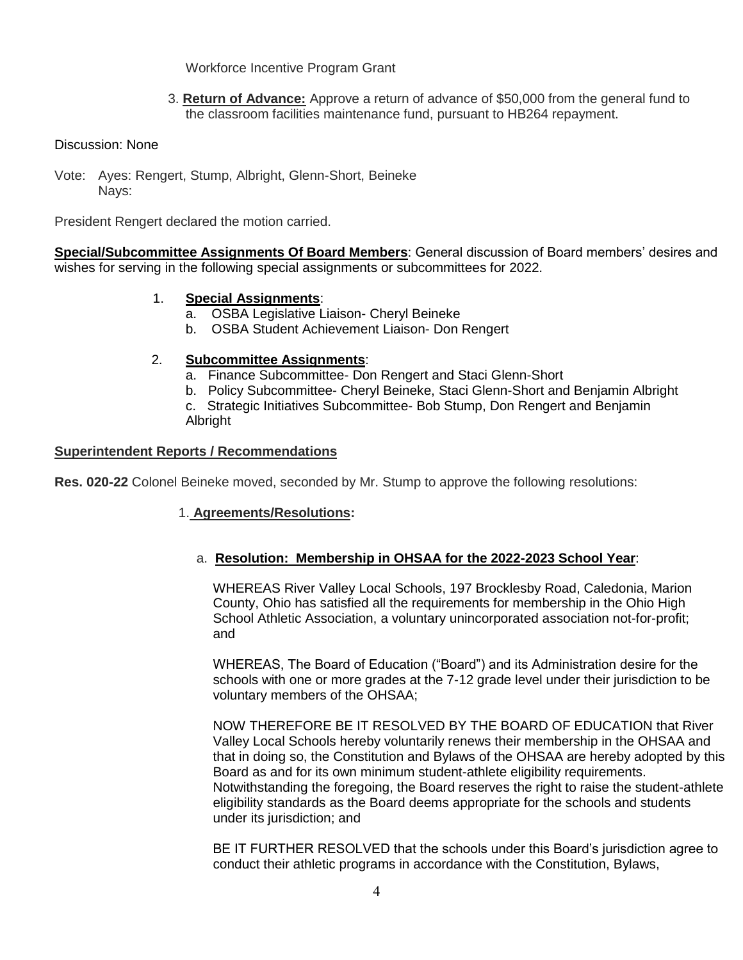## Workforce Incentive Program Grant

 3. **Return of Advance:** Approve a return of advance of \$50,000 from the general fund to the classroom facilities maintenance fund, pursuant to HB264 repayment.

#### Discussion: None

Vote: Ayes: Rengert, Stump, Albright, Glenn-Short, Beineke Navs:

President Rengert declared the motion carried.

**Special/Subcommittee Assignments Of Board Members**: General discussion of Board members' desires and wishes for serving in the following special assignments or subcommittees for 2022.

### 1. **Special Assignments**:

- a. OSBA Legislative Liaison- Cheryl Beineke
- b. OSBA Student Achievement Liaison- Don Rengert

### 2. **Subcommittee Assignments**:

- a. Finance Subcommittee- Don Rengert and Staci Glenn-Short
- b. Policy Subcommittee- Cheryl Beineke, Staci Glenn-Short and Benjamin Albright

c. Strategic Initiatives Subcommittee- Bob Stump, Don Rengert and Benjamin Albright

#### **Superintendent Reports / Recommendations**

**Res. 020-22** Colonel Beineke moved, seconded by Mr. Stump to approve the following resolutions:

### 1. **Agreements/Resolutions:**

## a. **Resolution: Membership in OHSAA for the 2022-2023 School Year**:

WHEREAS River Valley Local Schools, 197 Brocklesby Road, Caledonia, Marion County, Ohio has satisfied all the requirements for membership in the Ohio High School Athletic Association, a voluntary unincorporated association not-for-profit; and

WHEREAS, The Board of Education ("Board") and its Administration desire for the schools with one or more grades at the 7-12 grade level under their jurisdiction to be voluntary members of the OHSAA;

NOW THEREFORE BE IT RESOLVED BY THE BOARD OF EDUCATION that River Valley Local Schools hereby voluntarily renews their membership in the OHSAA and that in doing so, the Constitution and Bylaws of the OHSAA are hereby adopted by this Board as and for its own minimum student-athlete eligibility requirements. Notwithstanding the foregoing, the Board reserves the right to raise the student-athlete eligibility standards as the Board deems appropriate for the schools and students under its jurisdiction; and

BE IT FURTHER RESOLVED that the schools under this Board's jurisdiction agree to conduct their athletic programs in accordance with the Constitution, Bylaws,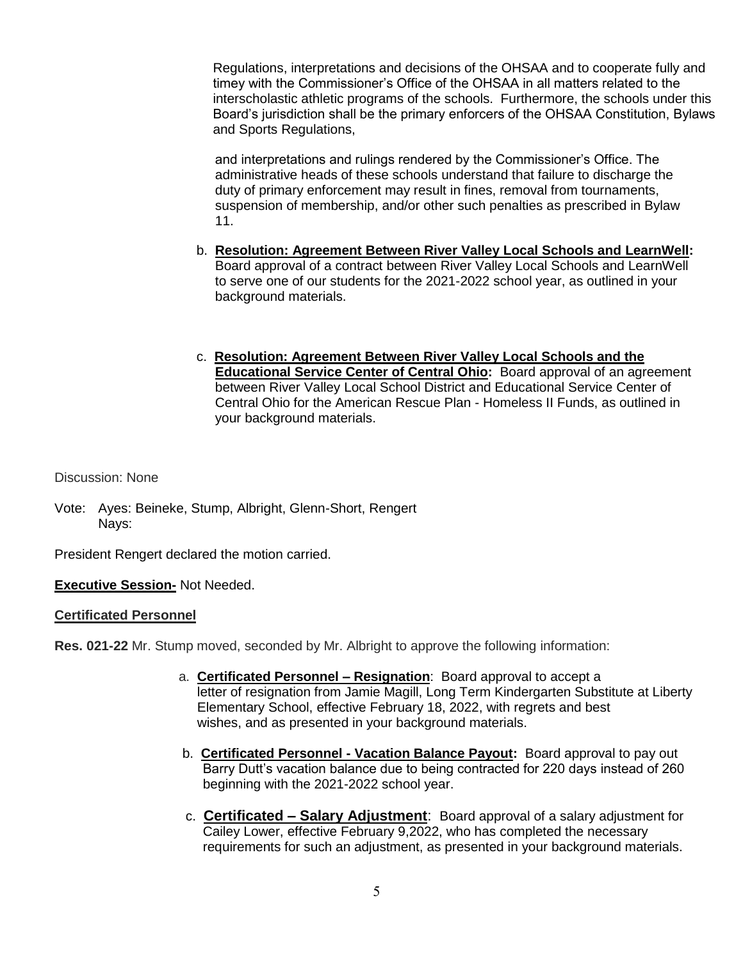Regulations, interpretations and decisions of the OHSAA and to cooperate fully and timey with the Commissioner's Office of the OHSAA in all matters related to the interscholastic athletic programs of the schools. Furthermore, the schools under this Board's jurisdiction shall be the primary enforcers of the OHSAA Constitution, Bylaws and Sports Regulations,

 and interpretations and rulings rendered by the Commissioner's Office. The administrative heads of these schools understand that failure to discharge the duty of primary enforcement may result in fines, removal from tournaments, suspension of membership, and/or other such penalties as prescribed in Bylaw 11.

- b. **Resolution: Agreement Between River Valley Local Schools and LearnWell:** Board approval of a contract between River Valley Local Schools and LearnWell to serve one of our students for the 2021-2022 school year, as outlined in your background materials.
- c. **Resolution: Agreement Between River Valley Local Schools and the Educational Service Center of Central Ohio:** Board approval of an agreement between River Valley Local School District and Educational Service Center of Central Ohio for the American Rescue Plan - Homeless II Funds, as outlined in your background materials.

Discussion: None

Vote: Ayes: Beineke, Stump, Albright, Glenn-Short, Rengert Navs:

President Rengert declared the motion carried.

**Executive Session-** Not Needed.

### **Certificated Personnel**

**Res. 021-22** Mr. Stump moved, seconded by Mr. Albright to approve the following information:

- a. **Certificated Personnel – Resignation**: Board approval to accept a letter of resignation from Jamie Magill, Long Term Kindergarten Substitute at Liberty Elementary School, effective February 18, 2022, with regrets and best wishes, and as presented in your background materials.
- b. **Certificated Personnel - Vacation Balance Payout:** Board approval to pay out Barry Dutt's vacation balance due to being contracted for 220 days instead of 260 beginning with the 2021-2022 school year.
- c. **Certificated – Salary Adjustment**: Board approval of a salary adjustment for Cailey Lower, effective February 9,2022, who has completed the necessary requirements for such an adjustment, as presented in your background materials.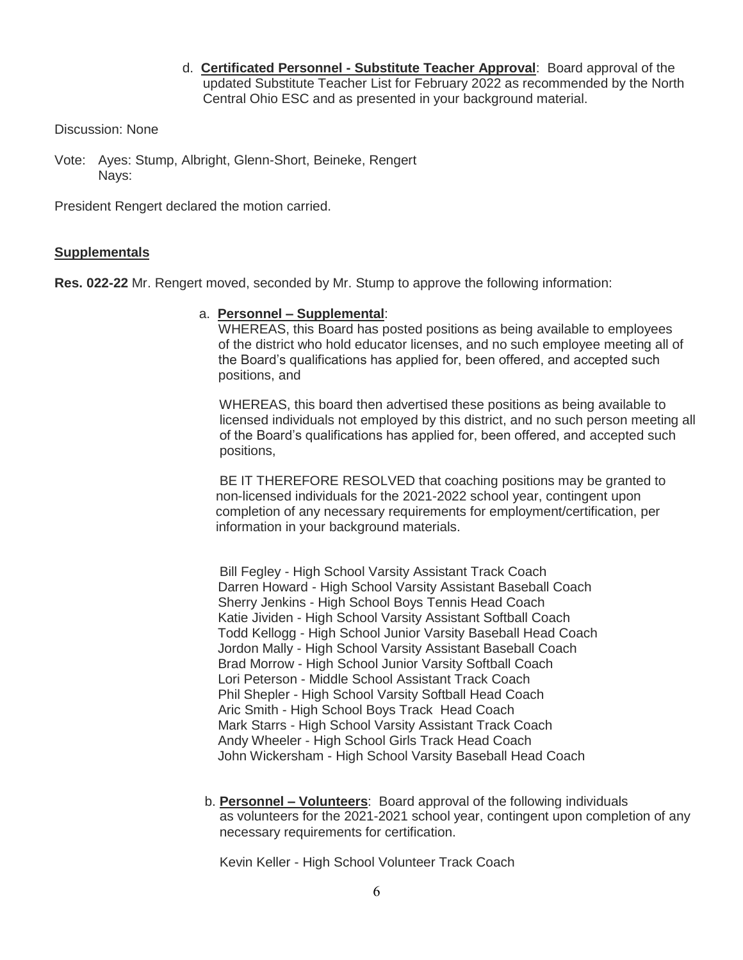d. **Certificated Personnel - Substitute Teacher Approval**: Board approval of the updated Substitute Teacher List for February 2022 as recommended by the North Central Ohio ESC and as presented in your background material.

Discussion: None

Vote: Ayes: Stump, Albright, Glenn-Short, Beineke, Rengert Navs:

President Rengert declared the motion carried.

### **Supplementals**

**Res. 022-22** Mr. Rengert moved, seconded by Mr. Stump to approve the following information:

### a. **Personnel – Supplemental**:

WHEREAS, this Board has posted positions as being available to employees of the district who hold educator licenses, and no such employee meeting all of the Board's qualifications has applied for, been offered, and accepted such positions, and

 WHEREAS, this board then advertised these positions as being available to licensed individuals not employed by this district, and no such person meeting all of the Board's qualifications has applied for, been offered, and accepted such positions,

 BE IT THEREFORE RESOLVED that coaching positions may be granted to non-licensed individuals for the 2021-2022 school year, contingent upon completion of any necessary requirements for employment/certification, per information in your background materials.

 Bill Fegley - High School Varsity Assistant Track Coach Darren Howard - High School Varsity Assistant Baseball Coach Sherry Jenkins - High School Boys Tennis Head Coach Katie Jividen - High School Varsity Assistant Softball Coach Todd Kellogg - High School Junior Varsity Baseball Head Coach Jordon Mally - High School Varsity Assistant Baseball Coach Brad Morrow - High School Junior Varsity Softball Coach Lori Peterson - Middle School Assistant Track Coach Phil Shepler - High School Varsity Softball Head Coach Aric Smith - High School Boys Track Head Coach Mark Starrs - High School Varsity Assistant Track Coach Andy Wheeler - High School Girls Track Head Coach John Wickersham - High School Varsity Baseball Head Coach

 b. **Personnel – Volunteers**: Board approval of the following individuals as volunteers for the 2021-2021 school year, contingent upon completion of any necessary requirements for certification.

Kevin Keller - High School Volunteer Track Coach